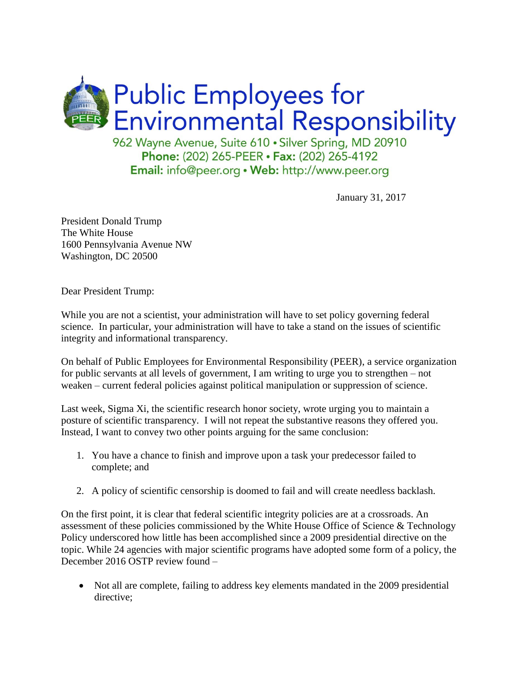

January 31, 2017

President Donald Trump The White House 1600 Pennsylvania Avenue NW Washington, DC 20500

Dear President Trump:

While you are not a scientist, your administration will have to set policy governing federal science. In particular, your administration will have to take a stand on the issues of scientific integrity and informational transparency.

On behalf of Public Employees for Environmental Responsibility (PEER), a service organization for public servants at all levels of government, I am writing to urge you to strengthen – not weaken – current federal policies against political manipulation or suppression of science.

Last week, Sigma Xi, the scientific research honor society, wrote urging you to maintain a posture of scientific transparency. I will not repeat the substantive reasons they offered you. Instead, I want to convey two other points arguing for the same conclusion:

- 1. You have a chance to finish and improve upon a task your predecessor failed to complete; and
- 2. A policy of scientific censorship is doomed to fail and will create needless backlash.

On the first point, it is clear that federal scientific integrity policies are at a crossroads. An assessment of these policies commissioned by the White House Office of Science & Technology Policy underscored how little has been accomplished since a 2009 presidential directive on the topic. While 24 agencies with major scientific programs have adopted some form of a policy, the December 2016 OSTP review found –

• Not all are complete, failing to address key elements mandated in the 2009 presidential directive: